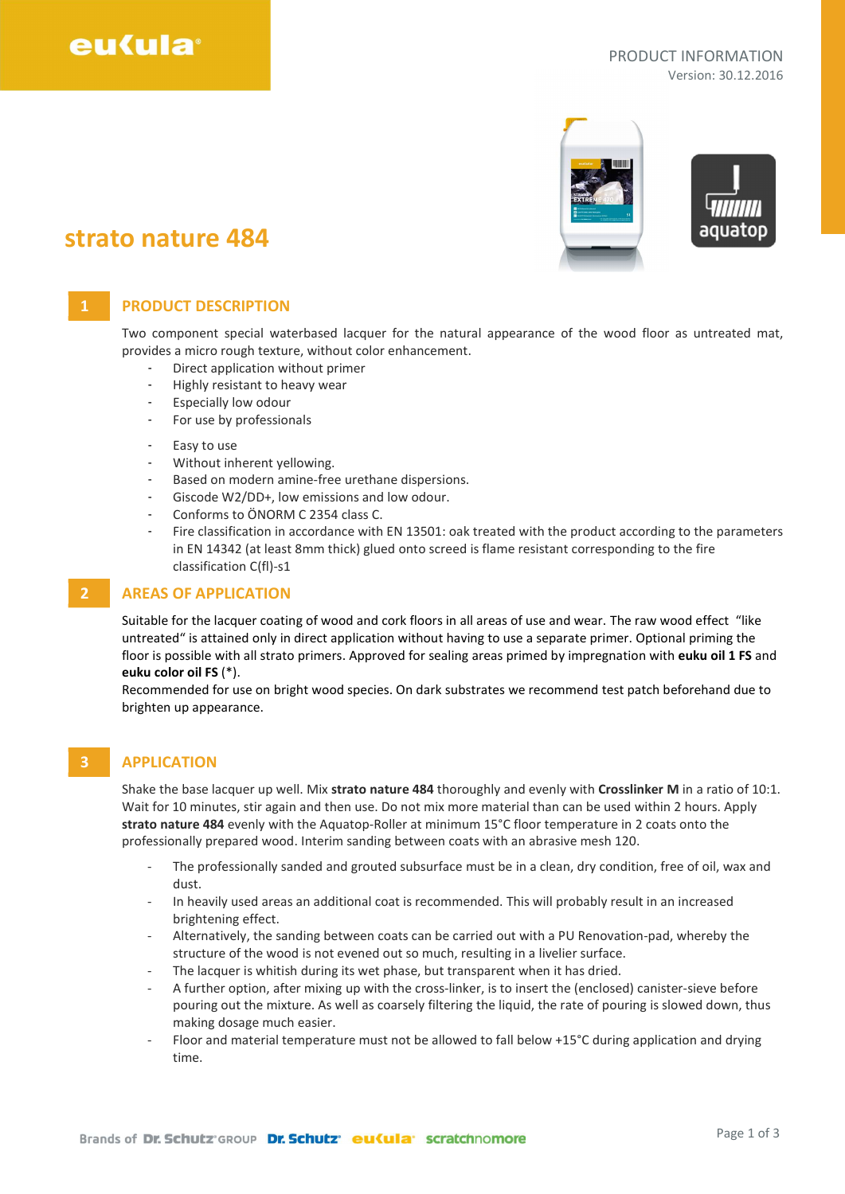# eu(ula

#### PRODUCT INFORMATION Version: 30.12.2016



## strato nature 484

## 1 **PRODUCT DESCRIPTION**

Two component special waterbased lacquer for the natural appearance of the wood floor as untreated mat, provides a micro rough texture, without color enhancement.

- Direct application without primer
- Highly resistant to heavy wear
- Especially low odour
- For use by professionals
- Easy to use
- Without inherent yellowing.
- Based on modern amine-free urethane dispersions.
- Giscode W2/DD+, low emissions and low odour.
- Conforms to ÖNORM C 2354 class C.
- Fire classification in accordance with EN 13501: oak treated with the product according to the parameters in EN 14342 (at least 8mm thick) glued onto screed is flame resistant corresponding to the fire classification C(fl)-s1

#### 2 AREAS OF APPLICATION

Suitable for the lacquer coating of wood and cork floors in all areas of use and wear. The raw wood effect "like untreated" is attained only in direct application without having to use a separate primer. Optional priming the floor is possible with all strato primers. Approved for sealing areas primed by impregnation with euku oil 1 FS and euku color oil FS (\*).

Recommended for use on bright wood species. On dark substrates we recommend test patch beforehand due to brighten up appearance.

### 3 APPLICATION

Shake the base lacquer up well. Mix strato nature 484 thoroughly and evenly with Crosslinker M in a ratio of 10:1. Wait for 10 minutes, stir again and then use. Do not mix more material than can be used within 2 hours. Apply strato nature 484 evenly with the Aquatop-Roller at minimum 15°C floor temperature in 2 coats onto the professionally prepared wood. Interim sanding between coats with an abrasive mesh 120.

- The professionally sanded and grouted subsurface must be in a clean, dry condition, free of oil, wax and dust.
- In heavily used areas an additional coat is recommended. This will probably result in an increased brightening effect.
- Alternatively, the sanding between coats can be carried out with a PU Renovation-pad, whereby the structure of the wood is not evened out so much, resulting in a livelier surface.
- The lacquer is whitish during its wet phase, but transparent when it has dried.
- A further option, after mixing up with the cross-linker, is to insert the (enclosed) canister-sieve before pouring out the mixture. As well as coarsely filtering the liquid, the rate of pouring is slowed down, thus making dosage much easier.
- Floor and material temperature must not be allowed to fall below +15°C during application and drying time.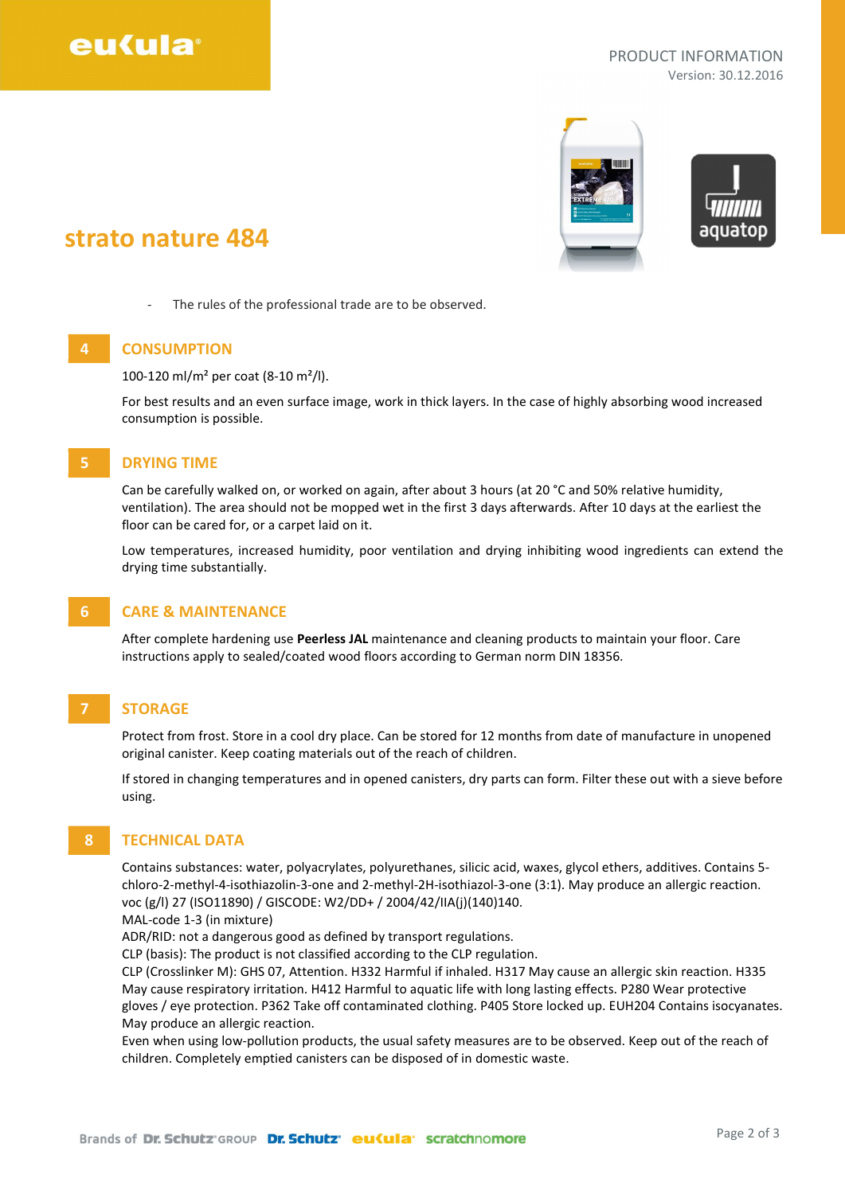# eu(ula<sup>®</sup>

#### PRODUCT INFORMATION Version: 30.12.2016



## strato nature 484

- The rules of the professional trade are to be observed.

## 4 CONSUMPTION

100-120 ml/m² per coat (8-10 m²/l).

For best results and an even surface image, work in thick layers. In the case of highly absorbing wood increased consumption is possible.

#### 5 DRYING TIME

Can be carefully walked on, or worked on again, after about 3 hours (at 20 °C and 50% relative humidity, ventilation). The area should not be mopped wet in the first 3 days afterwards. After 10 days at the earliest the floor can be cared for, or a carpet laid on it.

Low temperatures, increased humidity, poor ventilation and drying inhibiting wood ingredients can extend the drying time substantially.

### 6 CARE & MAINTENANCE

After complete hardening use Peerless JAL maintenance and cleaning products to maintain your floor. Care instructions apply to sealed/coated wood floors according to German norm DIN 18356.

## 7 STORAGE

Protect from frost. Store in a cool dry place. Can be stored for 12 months from date of manufacture in unopened original canister. Keep coating materials out of the reach of children.

If stored in changing temperatures and in opened canisters, dry parts can form. Filter these out with a sieve before using.

## 8 **TECHNICAL DATA**

Contains substances: water, polyacrylates, polyurethanes, silicic acid, waxes, glycol ethers, additives. Contains 5 chloro-2-methyl-4-isothiazolin-3-one and 2-methyl-2H-isothiazol-3-one (3:1). May produce an allergic reaction. voc (g/l) 27 (ISO11890) / GISCODE: W2/DD+ / 2004/42/IIA(j)(140)140.

MAL-code 1-3 (in mixture)

ADR/RID: not a dangerous good as defined by transport regulations.

CLP (basis): The product is not classified according to the CLP regulation.

CLP (Crosslinker M): GHS 07, Attention. H332 Harmful if inhaled. H317 May cause an allergic skin reaction. H335 May cause respiratory irritation. H412 Harmful to aquatic life with long lasting effects. P280 Wear protective gloves / eye protection. P362 Take off contaminated clothing. P405 Store locked up. EUH204 Contains isocyanates. May produce an allergic reaction.

Even when using low-pollution products, the usual safety measures are to be observed. Keep out of the reach of children. Completely emptied canisters can be disposed of in domestic waste.